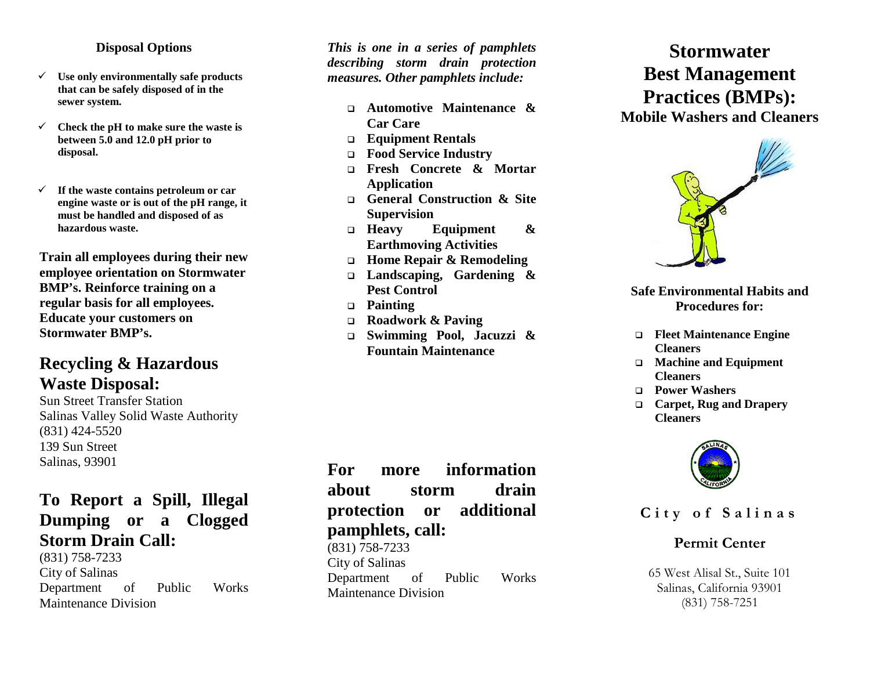#### **Disposal Options**

- **Use only environmentally safe products that can be safely disposed of in the sewer system.**
- **Check the pH to make sure the waste is between 5.0 and 12.0 pH prior to disposal.**
- **If the waste contains petroleum or car engine waste or is out of the pH range, it must be handled and disposed of as hazardous waste.**

**Train all employees during their new employee orientation on Stormwater BMP's. Reinforce training on a regular basis for all employees. Educate your customers on Stormwater BMP's.**

# **Recycling & Hazardous Waste Disposal:**

Sun Street Transfer Station Salinas Valley Solid Waste Authority (831) 424 -5520 139 Sun Street Salinas, 93901

## **To Report a Spill, Illegal Dumping or a Clogged Storm Drain Call:**

(831) 758 -7233 City of Salinas Department of Public Works Maintenance Division

*This is one in a series of pamphlets describing storm drain protection measures. Other pamphlets include:*

- **Automotive Maintenance & Car Care**
- **Equipment Rentals**
- **Food Service Industry**
- **Fresh Concrete & Mortar Application**
- **General Construction & Site Supervision**
- **Heavy Equipment & Earthmoving Activities**
- **Home Repair & Remodeling**
- **Landscaping, Gardening & Pest Control**
- **Painting**
- **Roadwork & Paving**
- **Swimming Pool, Jacuzzi & Fountain Maintenance**

**For more information about storm drain protection or additional pamphlets, call:**

(831) 758 -7233 City of Salinas Department of Public Works Maintenance Division

# **Stormwater Best Management Practices (BMPs):**

**Mobile Washers and Cleaners**



**Safe Environmental Habits and Procedures for:**

- **Fleet Maintenance Engine Cleaners**
- **Machine and Equipment Cleaners**
- **Power Washers**
- **Carpet, Rug and Drapery Cleaners**



**City of Salinas**

## **Permit Center**

65 West Alisal St., Suite 101 Salinas, California 93901 (831) 758 -7251